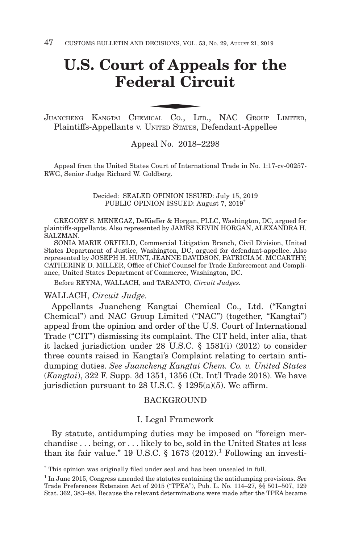# **U.S. Court of Appeals for the Federal Circuit** of Appenderal Circus

JUANCHENG KANGTAI CHEMICAL CO., LTD., NAC GROUP LIMITED, Plaintiffs-Appellants v. UNITED STATES, Defendant-Appellee

#### Appeal No. 2018–2298

Appeal from the United States Court of International Trade in No. 1:17-cv-00257- RWG, Senior Judge Richard W. Goldberg.

> Decided: SEALED OPINION ISSUED: July 15, 2019 PUBLIC OPINION ISSUED: August 7, 2019\*

GREGORY S. MENEGAZ, DeKieffer & Horgan, PLLC, Washington, DC, argued for plaintiffs-appellants. Also represented by JAMES KEVIN HORGAN, ALEXANDRA H. SALZMAN.

SONIA MARIE ORFIELD, Commercial Litigation Branch, Civil Division, United States Department of Justice, Washington, DC, argued for defendant-appellee. Also represented by JOSEPH H. HUNT, JEANNE DAVIDSON, PATRICIA M. MCCARTHY; CATHERINE D. MILLER, Office of Chief Counsel for Trade Enforcement and Compliance, United States Department of Commerce, Washington, DC.

Before REYNA, WALLACH, and TARANTO, *Circuit Judges.*

#### WALLACH, *Circuit Judge.*

Appellants Juancheng Kangtai Chemical Co., Ltd. ("Kangtai Chemical") and NAC Group Limited ("NAC") (together, "Kangtai") appeal from the opinion and order of the U.S. Court of International Trade ("CIT") dismissing its complaint. The CIT held, inter alia, that it lacked jurisdiction under 28 U.S.C. § 1581(i) (2012) to consider three counts raised in Kangtai's Complaint relating to certain antidumping duties. *See Juancheng Kangtai Chem. Co. v. United States* (*Kangtai*), 322 F. Supp. 3d 1351, 1356 (Ct. Int'l Trade 2018). We have jurisdiction pursuant to 28 U.S.C. § 1295(a)(5). We affirm.

### **BACKGROUND**

#### I. Legal Framework

By statute, antidumping duties may be imposed on "foreign merchandise . . . being, or . . . likely to be, sold in the United States at less than its fair value." 19 U.S.C.  $\S$  1673 (2012).<sup>1</sup> Following an investi-

<sup>\*</sup> This opinion was originally filed under seal and has been unsealed in full.

<sup>1</sup> In June 2015, Congress amended the statutes containing the antidumping provisions. *See* Trade Preferences Extension Act of 2015 ("TPEA"), Pub. L. No. 114–27, §§ 501–507, 129 Stat. 362, 383–88. Because the relevant determinations were made after the TPEA became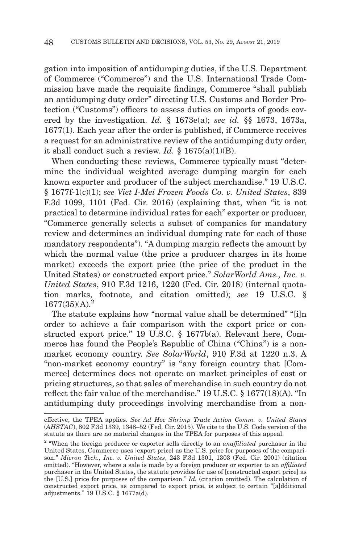gation into imposition of antidumping duties, if the U.S. Department of Commerce ("Commerce") and the U.S. International Trade Commission have made the requisite findings, Commerce "shall publish an antidumping duty order" directing U.S. Customs and Border Protection ("Customs") officers to assess duties on imports of goods covered by the investigation. *Id.* § 1673e(a); *see id.* §§ 1673, 1673a, 1677(1). Each year after the order is published, if Commerce receives a request for an administrative review of the antidumping duty order, it shall conduct such a review. *Id.*  $\S$  1675(a)(1)(B).

When conducting these reviews, Commerce typically must "determine the individual weighted average dumping margin for each known exporter and producer of the subject merchandise." 19 U.S.C. § 1677f-1(c)(1); *see Viet I-Mei Frozen Foods Co. v. United States*, 839 F.3d 1099, 1101 (Fed. Cir. 2016) (explaining that, when "it is not practical to determine individual rates for each" exporter or producer, "Commerce generally selects a subset of companies for mandatory review and determines an individual dumping rate for each of those mandatory respondents"). "A dumping margin reflects the amount by which the normal value (the price a producer charges in its home market) exceeds the export price (the price of the product in the United States) or constructed export price." *SolarWorld Ams., Inc. v. United States*, 910 F.3d 1216, 1220 (Fed. Cir. 2018) (internal quotation marks, footnote, and citation omitted); *see* 19 U.S.C. §  $1677(35)(A).<sup>2</sup>$ 

The statute explains how "normal value shall be determined" "[i]n order to achieve a fair comparison with the export price or constructed export price." 19 U.S.C. § 1677b(a). Relevant here, Commerce has found the People's Republic of China ("China") is a nonmarket economy country. *See SolarWorld*, 910 F.3d at 1220 n.3. A "non-market economy country" is "any foreign country that [Commerce] determines does not operate on market principles of cost or pricing structures, so that sales of merchandise in such country do not reflect the fair value of the merchandise." 19 U.S.C. § 1677(18)(A). "In antidumping duty proceedings involving merchandise from a non-

effective, the TPEA applies. *See Ad Hoc Shrimp Trade Action Comm. v. United States* (*AHSTAC*), 802 F.3d 1339, 1348–52 (Fed. Cir. 2015). We cite to the U.S. Code version of the statute as there are no material changes in the TPEA for purposes of this appeal.

<sup>2 &</sup>quot;When the foreign producer or exporter sells directly to an *unaffiliated* purchaser in the United States, Commerce uses [export price] as the U.S. price for purposes of the comparison." *Micron Tech., Inc. v. United States*, 243 F.3d 1301, 1303 (Fed. Cir. 2001) (citation omitted). "However, where a sale is made by a foreign producer or exporter to an *affiliated* purchaser in the United States, the statute provides for use of [constructed export price] as the [U.S.] price for purposes of the comparison." *Id.* (citation omitted). The calculation of constructed export price, as compared to export price, is subject to certain "[a]dditional adjustments." 19 U.S.C. § 1677a(d).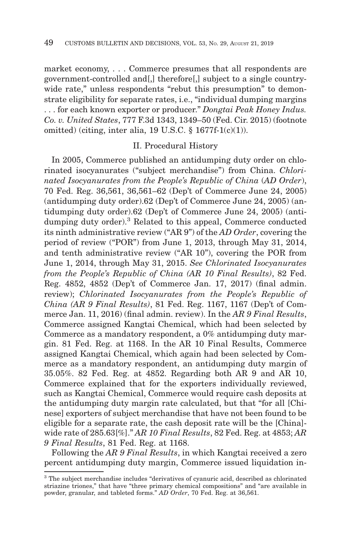market economy, . . . Commerce presumes that all respondents are government-controlled and[,] therefore[,] subject to a single countrywide rate," unless respondents "rebut this presumption" to demonstrate eligibility for separate rates, i.e., "individual dumping margins . . . for each known exporter or producer." *Dongtai Peak Honey Indus. Co. v. United States*, 777 F.3d 1343, 1349–50 (Fed. Cir. 2015) (footnote omitted) (citing, inter alia, 19 U.S.C.  $\S$  1677f-1(c)(1)).

## II. Procedural History

In 2005, Commerce published an antidumping duty order on chlorinated isocyanurates ("subject merchandise") from China. *Chlorinated Isocyanurates from the People's Republic of China* (*AD Order*), 70 Fed. Reg. 36,561, 36,561–62 (Dep't of Commerce June 24, 2005) (antidumping duty order).62 (Dep't of Commerce June 24, 2005) (antidumping duty order).62 (Dep't of Commerce June 24, 2005) (antidumping duty order).3 Related to this appeal, Commerce conducted its ninth administrative review ("AR 9") of the *AD Order*, covering the period of review ("POR") from June 1, 2013, through May 31, 2014, and tenth administrative review ("AR 10"), covering the POR from June 1, 2014, through May 31, 2015. *See Chlorinated Isocyanurates from the People's Republic of China (AR 10 Final Results)*, 82 Fed. Reg. 4852, 4852 (Dep't of Commerce Jan. 17, 2017) (final admin. review); *Chlorinated Isocyanurates from the People's Republic of China (AR 9 Final Results)*, 81 Fed. Reg. 1167, 1167 (Dep't of Commerce Jan. 11, 2016) (final admin. review). In the *AR 9 Final Results*, Commerce assigned Kangtai Chemical, which had been selected by Commerce as a mandatory respondent, a 0% antidumping duty margin. 81 Fed. Reg. at 1168. In the AR 10 Final Results, Commerce assigned Kangtai Chemical, which again had been selected by Commerce as a mandatory respondent, an antidumping duty margin of 35.05%. 82 Fed. Reg. at 4852. Regarding both AR 9 and AR 10, Commerce explained that for the exporters individually reviewed, such as Kangtai Chemical, Commerce would require cash deposits at the antidumping duty margin rate calculated, but that "for all [Chinese] exporters of subject merchandise that have not been found to be eligible for a separate rate, the cash deposit rate will be the [China] wide rate of 285.63[%]." *AR 10 Final Results*, 82 Fed. Reg. at 4853; *AR 9 Final Results*, 81 Fed. Reg. at 1168.

Following the *AR 9 Final Results*, in which Kangtai received a zero percent antidumping duty margin, Commerce issued liquidation in-

<sup>3</sup> The subject merchandise includes "derivatives of cyanuric acid, described as chlorinated striazine triones," that have "three primary chemical compositions" and "are available in powder, granular, and tableted forms." *AD Order*, 70 Fed. Reg. at 36,561.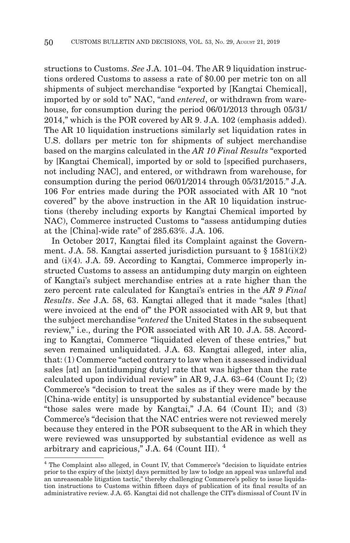structions to Customs. *See* J.A. 101–04. The AR 9 liquidation instructions ordered Customs to assess a rate of \$0.00 per metric ton on all shipments of subject merchandise "exported by [Kangtai Chemical], imported by or sold to" NAC, "and *entered*, or withdrawn from warehouse, for consumption during the period 06/01/2013 through 05/31/ 2014," which is the POR covered by AR 9. J.A. 102 (emphasis added). The AR 10 liquidation instructions similarly set liquidation rates in U.S. dollars per metric ton for shipments of subject merchandise based on the margins calculated in the *AR 10 Final Results* "exported by [Kangtai Chemical], imported by or sold to [specified purchasers, not including NAC], and entered, or withdrawn from warehouse, for consumption during the period 06/01/2014 through 05/31/2015." J.A. 106 For entries made during the POR associated with AR 10 "not covered" by the above instruction in the AR 10 liquidation instructions (thereby including exports by Kangtai Chemical imported by NAC), Commerce instructed Customs to "assess antidumping duties at the [China]-wide rate" of 285.63%. J.A. 106.

In October 2017, Kangtai filed its Complaint against the Government. J.A. 58. Kangtai asserted jurisdiction pursuant to  $\S$  1581(i)(2) and (i)(4). J.A. 59. According to Kangtai, Commerce improperly instructed Customs to assess an antidumping duty margin on eighteen of Kangtai's subject merchandise entries at a rate higher than the zero percent rate calculated for Kangtai's entries in the *AR 9 Final Results*. *See* J.A. 58, 63. Kangtai alleged that it made "sales [that] were invoiced at the end of" the POR associated with AR 9, but that the subject merchandise "*entered* the United States in the subsequent review," i.e., during the POR associated with AR 10. J.A. 58. According to Kangtai, Commerce "liquidated eleven of these entries," but seven remained unliquidated. J.A. 63. Kangtai alleged, inter alia, that: (1) Commerce "acted contrary to law when it assessed individual sales [at] an [antidumping duty] rate that was higher than the rate calculated upon individual review" in AR 9, J.A. 63–64 (Count I); (2) Commerce's "decision to treat the sales as if they were made by the [China-wide entity] is unsupported by substantial evidence" because "those sales were made by Kangtai," J.A. 64 (Count II); and (3) Commerce's "decision that the NAC entries were not reviewed merely because they entered in the POR subsequent to the AR in which they were reviewed was unsupported by substantial evidence as well as arbitrary and capricious," J.A. 64 (Count III). <sup>4</sup>

<sup>4</sup> The Complaint also alleged, in Count IV, that Commerce's "decision to liquidate entries prior to the expiry of the [sixty] days permitted by law to lodge an appeal was unlawful and an unreasonable litigation tactic," thereby challenging Commerce's policy to issue liquidation instructions to Customs within fifteen days of publication of its final results of an administrative review. J.A. 65. Kangtai did not challenge the CIT's dismissal of Count IV in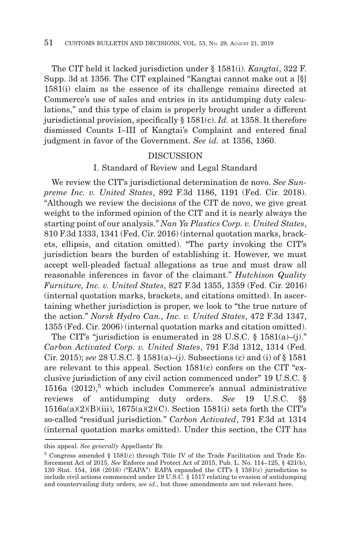The CIT held it lacked jurisdiction under § 1581(i). *Kangtai*, 322 F. Supp. 3d at 1356. The CIT explained "Kangtai cannot make out a [§] 1581(i) claim as the essence of its challenge remains directed at Commerce's use of sales and entries in its antidumping duty calculations," and this type of claim is properly brought under a different jurisdictional provision, specifically § 1581(c). *Id.* at 1358. It therefore dismissed Counts I–III of Kangtai's Complaint and entered final judgment in favor of the Government. *See id.* at 1356, 1360.

## DISCUSSION

## I. Standard of Review and Legal Standard

We review the CIT's jurisdictional determination de novo. *See Sunpreme Inc. v. United States*, 892 F.3d 1186, 1191 (Fed. Cir. 2018). "Although we review the decisions of the CIT de novo, we give great weight to the informed opinion of the CIT and it is nearly always the starting point of our analysis." *Nan Ya Plastics Corp. v. United States*, 810 F.3d 1333, 1341 (Fed. Cir. 2016) (internal quotation marks, brackets, ellipsis, and citation omitted). "The party invoking the CIT's jurisdiction bears the burden of establishing it. However, we must accept well-pleaded factual allegations as true and must draw all reasonable inferences in favor of the claimant." *Hutchison Quality Furniture, Inc. v. United States*, 827 F.3d 1355, 1359 (Fed. Cir. 2016) (internal quotation marks, brackets, and citations omitted). In ascertaining whether jurisdiction is proper, we look to "the true nature of the action." *Norsk Hydro Can., Inc. v. United States*, 472 F.3d 1347, 1355 (Fed. Cir. 2006) (internal quotation marks and citation omitted).

The CIT's "jurisdiction is enumerated in 28 U.S.C.  $\S$  1581(a)–(j)." *Carbon Activated Corp. v. United States*, 791 F.3d 1312, 1314 (Fed. Cir. 2015); *see* 28 U.S.C. § 1581(a)–(j). Subsections (c) and (i) of § 1581 are relevant to this appeal. Section 1581(c) confers on the CIT "exclusive jurisdiction of any civil action commenced under" 19 U.S.C. § 1516a  $(2012)$ <sup>5</sup> which includes Commerce's annual administrative reviews of antidumping duty orders. *See* 19 U.S.C. §§  $1516a(a)(2)(B)(iii)$ ,  $1675(a)(2)(C)$ . Section  $1581(i)$  sets forth the CIT's so-called "residual jurisdiction." *Carbon Activated*, 791 F.3d at 1314 (internal quotation marks omitted). Under this section, the CIT has

this appeal. *See generally* Appellants' Br.

<sup>5</sup> Congress amended § 1581(c) through Title IV of the Trade Facilitation and Trade Enforcement Act of 2015. *See* Enforce and Protect Act of 2015, Pub. L. No. 114–125, § 421(b), 130 Stat. 154, 168 (2016) ("EAPA"). EAPA expanded the CIT's § 1581(c) jurisdiction to include civil actions commenced under 19 U.S.C. § 1517 relating to evasion of antidumping and countervailing duty orders, *see id.*, but those amendments are not relevant here.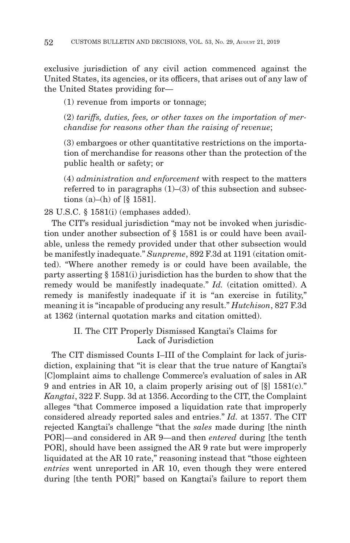exclusive jurisdiction of any civil action commenced against the United States, its agencies, or its officers, that arises out of any law of the United States providing for—

(1) revenue from imports or tonnage;

(2) *tariffs, duties, fees, or other taxes on the importation of merchandise for reasons other than the raising of revenue*;

(3) embargoes or other quantitative restrictions on the importation of merchandise for reasons other than the protection of the public health or safety; or

(4) *administration and enforcement* with respect to the matters referred to in paragraphs  $(1)$ – $(3)$  of this subsection and subsections (a)–(h) of  $[\S 1581]$ .

28 U.S.C. § 1581(i) (emphases added).

The CIT's residual jurisdiction "may not be invoked when jurisdiction under another subsection of § 1581 is or could have been available, unless the remedy provided under that other subsection would be manifestly inadequate." *Sunpreme*, 892 F.3d at 1191 (citation omitted). "Where another remedy is or could have been available, the party asserting § 1581(i) jurisdiction has the burden to show that the remedy would be manifestly inadequate." *Id.* (citation omitted). A remedy is manifestly inadequate if it is "an exercise in futility," meaning it is "incapable of producing any result." *Hutchison*, 827 F.3d at 1362 (internal quotation marks and citation omitted).

> II. The CIT Properly Dismissed Kangtai's Claims for Lack of Jurisdiction

The CIT dismissed Counts I–III of the Complaint for lack of jurisdiction, explaining that "it is clear that the true nature of Kangtai's [C]omplaint aims to challenge Commerce's evaluation of sales in AR 9 and entries in AR 10, a claim properly arising out of [§] 1581(c)." *Kangtai*, 322 F. Supp. 3d at 1356. According to the CIT, the Complaint alleges "that Commerce imposed a liquidation rate that improperly considered already reported sales and entries." *Id.* at 1357. The CIT rejected Kangtai's challenge "that the *sales* made during [the ninth POR]—and considered in AR 9—and then *entered* during [the tenth POR], should have been assigned the AR 9 rate but were improperly liquidated at the AR 10 rate," reasoning instead that "those eighteen *entries* went unreported in AR 10, even though they were entered during [the tenth POR]" based on Kangtai's failure to report them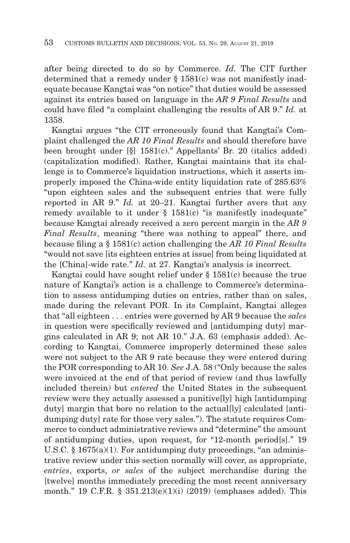after being directed to do so by Commerce. *Id.* The CIT further determined that a remedy under § 1581(c) was not manifestly inadequate because Kangtai was "on notice" that duties would be assessed against its entries based on language in the *AR 9 Final Results* and could have filed "a complaint challenging the results of AR 9." *Id.* at 1358.

Kangtai argues "the CIT erroneously found that Kangtai's Complaint challenged the *AR 10 Final Results* and should therefore have been brought under [§] 1581(c)." Appellants' Br. 20 (italics added) (capitalization modified). Rather, Kangtai maintains that its challenge is to Commerce's liquidation instructions, which it asserts improperly imposed the China-wide entity liquidation rate of 285.63% "upon eighteen sales and the subsequent entries that were fully reported in AR 9." *Id.* at 20–21. Kangtai further avers that any remedy available to it under  $\S$  1581(c) "is manifestly inadequate" because Kangtai already received a zero percent margin in the *AR 9 Final Results*, meaning "there was nothing to appeal" there, and because filing a § 1581(c) action challenging the *AR 10 Final Results* "would not save [its eighteen entries at issue] from being liquidated at the [China]-wide rate." *Id.* at 27. Kangtai's analysis is incorrect.

Kangtai could have sought relief under  $\S$  1581(c) because the true nature of Kangtai's action is a challenge to Commerce's determination to assess antidumping duties on entries, rather than on sales, made during the relevant POR. In its Complaint, Kangtai alleges that "all eighteen . . . entries were governed by AR 9 because the *sales* in question were specifically reviewed and [antidumping duty] margins calculated in AR 9; not AR 10." J.A. 63 (emphasis added). According to Kangtai, Commerce improperly determined these sales were not subject to the AR 9 rate because they were entered during the POR corresponding to AR 10. *See* J.A. 58 ("Only because the sales were invoiced at the end of that period of review (and thus lawfully included therein) but *entered* the United States in the subsequent review were they actually assessed a punitive[ly] high [antidumping duty] margin that bore no relation to the actual[ly] calculated [antidumping duty] rate for those very sales."). The statute requires Commerce to conduct administrative reviews and "determine" the amount of antidumping duties, upon request, for "12-month period[s]." 19 U.S.C.  $\S 1675(a)(1)$ . For antidumping duty proceedings, "an administrative review under this section normally will cover, as appropriate, *entries*, exports, *or sales* of the subject merchandise during the [twelve] months immediately preceding the most recent anniversary month." 19 C.F.R. § 351.213(e)(1)(i) (2019) (emphases added). This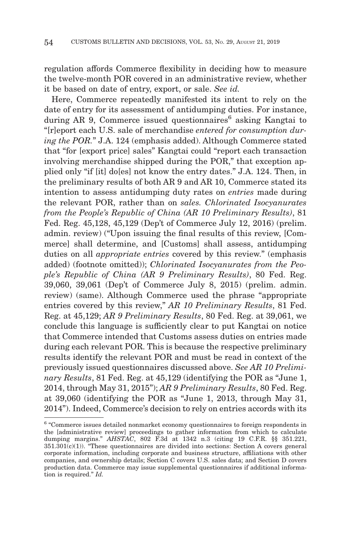regulation affords Commerce flexibility in deciding how to measure the twelve-month POR covered in an administrative review, whether it be based on date of entry, export, or sale. *See id.*

Here, Commerce repeatedly manifested its intent to rely on the date of entry for its assessment of antidumping duties. For instance, during AR 9, Commerce issued questionnaires<sup> $6$ </sup> asking Kangtai to "[r]eport each U.S. sale of merchandise *entered for consumption during the POR.*" J.A. 124 (emphasis added). Although Commerce stated that "for [export price] sales" Kangtai could "report each transaction involving merchandise shipped during the POR," that exception applied only "if [it] do[es] not know the entry dates." J.A. 124. Then, in the preliminary results of both AR 9 and AR 10, Commerce stated its intention to assess antidumping duty rates on *entries* made during the relevant POR, rather than on *sales. Chlorinated Isocyanurates from the People's Republic of China (AR 10 Preliminary Results)*, 81 Fed. Reg. 45,128, 45,129 (Dep't of Commerce July 12, 2016) (prelim. admin. review) ("Upon issuing the final results of this review, [Commerce] shall determine, and [Customs] shall assess, antidumping duties on all *appropriate entries* covered by this review." (emphasis added) (footnote omitted)); *Chlorinated Isocyanurates from the People's Republic of China (AR 9 Preliminary Results)*, 80 Fed. Reg. 39,060, 39,061 (Dep't of Commerce July 8, 2015) (prelim. admin. review) (same). Although Commerce used the phrase "appropriate entries covered by this review," *AR 10 Preliminary Results*, 81 Fed. Reg. at 45,129; *AR 9 Preliminary Results*, 80 Fed. Reg. at 39,061, we conclude this language is sufficiently clear to put Kangtai on notice that Commerce intended that Customs assess duties on entries made during each relevant POR. This is because the respective preliminary results identify the relevant POR and must be read in context of the previously issued questionnaires discussed above. *See AR 10 Preliminary Results*, 81 Fed. Reg. at 45,129 (identifying the POR as "June 1, 2014, through May 31, 2015"); *AR 9 Preliminary Results*, 80 Fed. Reg. at 39,060 (identifying the POR as "June 1, 2013, through May 31, 2014"). Indeed, Commerce's decision to rely on entries accords with its

<sup>6 &</sup>quot;Commerce issues detailed nonmarket economy questionnaires to foreign respondents in the [administrative review] proceedings to gather information from which to calculate dumping margins." *AHSTAC*, 802 F.3d at 1342 n.3 (citing 19 C.F.R. §§ 351.221,  $351.301(c)(1)$ . "These questionnaires are divided into sections: Section A covers general corporate information, including corporate and business structure, affiliations with other companies, and ownership details; Section C covers U.S. sales data; and Section D covers production data. Commerce may issue supplemental questionnaires if additional information is required." *Id.*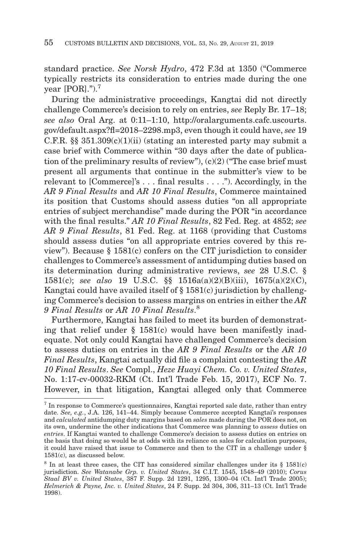standard practice. *See Norsk Hydro*, 472 F.3d at 1350 ("Commerce typically restricts its consideration to entries made during the one year [POR].").7

During the administrative proceedings, Kangtai did not directly challenge Commerce's decision to rely on entries, *see* Reply Br. 17–18; *see also* Oral Arg. at 0:11–1:10, http://oralarguments.cafc.uscourts. gov/default.aspx?fl=2018–2298.mp3, even though it could have, *see* 19 C.F.R.  $\S$  351.309(c)(1)(ii) (stating an interested party may submit a case brief with Commerce within "30 days after the date of publication of the preliminary results of review"),  $(c)(2)$  ("The case brief must present all arguments that continue in the submitter's view to be relevant to [Commerce]'s . . . final results . . . ."). Accordingly, in the *AR 9 Final Results* and *AR 10 Final Results*, Commerce maintained its position that Customs should assess duties "on all appropriate entries of subject merchandise" made during the POR "in accordance with the final results." *AR 10 Final Results*, 82 Fed. Reg. at 4852; *see AR 9 Final Results*, 81 Fed. Reg. at 1168 (providing that Customs should assess duties "on all appropriate entries covered by this review"). Because § 1581(c) confers on the CIT jurisdiction to consider challenges to Commerce's assessment of antidumping duties based on its determination during administrative reviews, *see* 28 U.S.C. § 1581(c); *see also* 19 U.S.C. §§ 1516a(a)(2)(B)(iii), 1675(a)(2)(C), Kangtai could have availed itself of § 1581(c) jurisdiction by challenging Commerce's decision to assess margins on entries in either the *AR 9 Final Results* or *AR 10 Final Results*. 8

Furthermore, Kangtai has failed to meet its burden of demonstrating that relief under  $\S$  1581(c) would have been manifestly inadequate. Not only could Kangtai have challenged Commerce's decision to assess duties on entries in the *AR 9 Final Results* or the *AR 10 Final Results*, Kangtai actually did file a complaint contesting the *AR 10 Final Results*. *See* Compl., *Heze Huayi Chem. Co. v. United States*, No. 1:17-cv-00032-RKM (Ct. Int'l Trade Feb. 15, 2017), ECF No. 7. However, in that litigation, Kangtai alleged only that Commerce

<sup>7</sup> In response to Commerce's questionnaires, Kangtai reported sale date, rather than entry date. *See, e.g.*, J.A. 126, 141–44. Simply because Commerce accepted Kangtai's responses and *calculated* antidumping duty margins based on *sales* made during the POR does not, on its own, undermine the other indications that Commerce was planning to *assess* duties on *entries*. If Kangtai wanted to challenge Commerce's decision to assess duties on entries on the basis that doing so would be at odds with its reliance on sales for calculation purposes, it could have raised that issue to Commerce and then to the CIT in a challenge under § 1581(c), as discussed below.

 $8 \text{ In at least three cases, the CIT has considered similar challenges under its $1581(c) }$ jurisdiction. *See Watanabe Grp. v. United States*, 34 C.I.T. 1545, 1548–49 (2010); *Corus Staal BV v. United States*, 387 F. Supp. 2d 1291, 1295, 1300–04 (Ct. Int'l Trade 2005); *Helmerich & Payne, Inc. v. United States*, 24 F. Supp. 2d 304, 306, 311–13 (Ct. Int'l Trade 1998).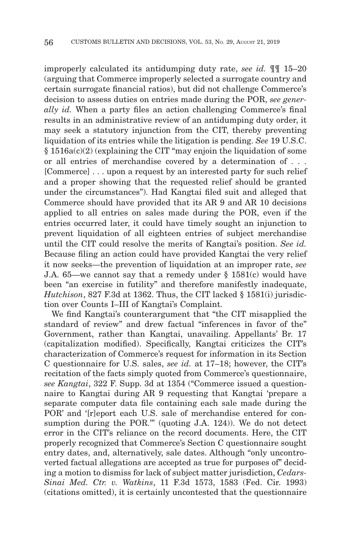improperly calculated its antidumping duty rate, *see id.* ¶¶ 15–20 (arguing that Commerce improperly selected a surrogate country and certain surrogate financial ratios), but did not challenge Commerce's decision to assess duties on entries made during the POR, *see generally id.* When a party files an action challenging Commerce's final results in an administrative review of an antidumping duty order, it may seek a statutory injunction from the CIT, thereby preventing liquidation of its entries while the litigation is pending. *See* 19 U.S.C. § 1516a(c)(2) (explaining the CIT "may enjoin the liquidation of some or all entries of merchandise covered by a determination of . . . [Commerce] . . . upon a request by an interested party for such relief and a proper showing that the requested relief should be granted under the circumstances"). Had Kangtai filed suit and alleged that Commerce should have provided that its AR 9 and AR 10 decisions applied to all entries on sales made during the POR, even if the entries occurred later, it could have timely sought an injunction to prevent liquidation of all eighteen entries of subject merchandise until the CIT could resolve the merits of Kangtai's position. *See id.* Because filing an action could have provided Kangtai the very relief it now seeks—the prevention of liquidation at an improper rate, *see* J.A. 65—we cannot say that a remedy under § 1581(c) would have been "an exercise in futility" and therefore manifestly inadequate, *Hutchison*, 827 F.3d at 1362. Thus, the CIT lacked § 1581(i) jurisdiction over Counts I–III of Kangtai's Complaint.

We find Kangtai's counterargument that "the CIT misapplied the standard of review" and drew factual "inferences in favor of the" Government, rather than Kangtai, unavailing. Appellants' Br. 17 (capitalization modified). Specifically, Kangtai criticizes the CIT's characterization of Commerce's request for information in its Section C questionnaire for U.S. sales, *see id.* at 17–18; however, the CIT's recitation of the facts simply quoted from Commerce's questionnaire, *see Kangtai*, 322 F. Supp. 3d at 1354 ("Commerce issued a questionnaire to Kangtai during AR 9 requesting that Kangtai 'prepare a separate computer data file containing each sale made during the POR' and '[r]eport each U.S. sale of merchandise entered for consumption during the POR."" (quoting J.A. 124)). We do not detect error in the CIT's reliance on the record documents. Here, the CIT properly recognized that Commerce's Section C questionnaire sought entry dates, and, alternatively, sale dates. Although "only uncontroverted factual allegations are accepted as true for purposes of" deciding a motion to dismiss for lack of subject matter jurisdiction, *Cedars-Sinai Med. Ctr. v. Watkins*, 11 F.3d 1573, 1583 (Fed. Cir. 1993) (citations omitted), it is certainly uncontested that the questionnaire